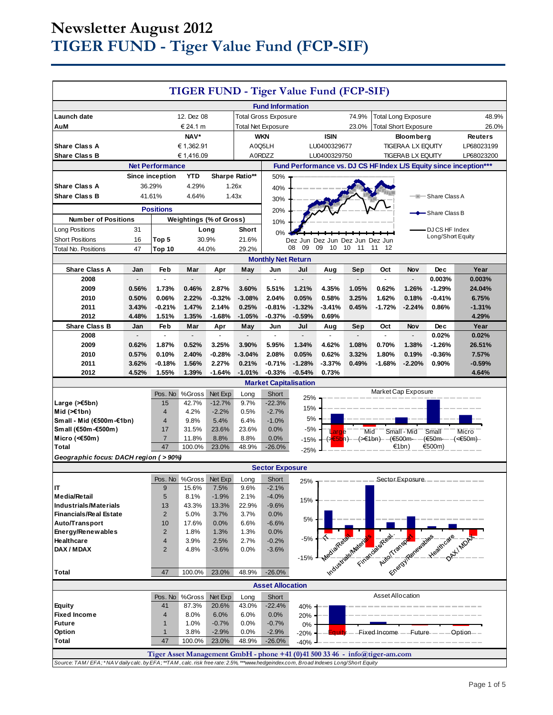# **Newsletter August 2012 TIGER FUND - Tiger Value Fund (FCP-SIF)**

| TIGER FUND - Tiger Value Fund (FCP-SIF)                                                                                             |                                          |                         |                                |                   |                           |                              |                          |                             |          |                                                                     |                          |                            |                     |
|-------------------------------------------------------------------------------------------------------------------------------------|------------------------------------------|-------------------------|--------------------------------|-------------------|---------------------------|------------------------------|--------------------------|-----------------------------|----------|---------------------------------------------------------------------|--------------------------|----------------------------|---------------------|
| <b>Fund Information</b>                                                                                                             |                                          |                         |                                |                   |                           |                              |                          |                             |          |                                                                     |                          |                            |                     |
| 12. Dez 08<br>74.9%<br><b>Total Long Exposure</b><br>Launch date<br><b>Total Gross Exposure</b>                                     |                                          |                         |                                |                   |                           |                              | 48.9%                    |                             |          |                                                                     |                          |                            |                     |
| AuM                                                                                                                                 | € 24.1 m                                 |                         |                                |                   | <b>Total Net Exposure</b> |                              | 23.0%                    |                             |          | <b>Total Short Exposure</b>                                         | 26.0%                    |                            |                     |
| NAV*                                                                                                                                |                                          |                         | <b>WKN</b>                     |                   |                           | <b>ISIN</b>                  |                          | <b>Bloomberg</b>            |          |                                                                     | Reuters                  |                            |                     |
| € 1,362.91<br><b>Share Class A</b>                                                                                                  |                                          | A0Q5LH                  |                                |                   | LU0400329677              |                              | <b>TIGERAA LX EQUITY</b> |                             |          | LP68023199                                                          |                          |                            |                     |
| <b>Share Class B</b><br>€1,416.09                                                                                                   |                                          | A0RDZZ<br>LU0400329750  |                                |                   |                           | <b>TIGERAB LX EQUITY</b>     |                          |                             |          | LP68023200                                                          |                          |                            |                     |
| Fund Performance vs. DJ CS HF Index L/S Equity since inception***<br><b>Net Performance</b>                                         |                                          |                         |                                |                   |                           |                              |                          |                             |          |                                                                     |                          |                            |                     |
|                                                                                                                                     | YTD<br>Sharpe Ratio**<br>Since inception |                         |                                | 50%               |                           |                              |                          |                             |          |                                                                     |                          |                            |                     |
| <b>Share Class A</b>                                                                                                                |                                          | 36.29%                  | 4.29%                          |                   | 1.26x                     | 40%                          |                          |                             |          |                                                                     |                          |                            |                     |
| <b>Share Class B</b><br>41.61%<br>1.43x<br>4.64%                                                                                    |                                          |                         |                                |                   |                           | 30%                          | -Share Class A<br>÷      |                             |          |                                                                     |                          |                            |                     |
| <b>Positions</b>                                                                                                                    |                                          |                         |                                |                   |                           | 20%                          |                          |                             |          |                                                                     |                          | <del>–</del> Share Class B |                     |
| <b>Number of Positions</b>                                                                                                          |                                          |                         | <b>Weightings (% of Gross)</b> |                   |                           | 10%                          |                          |                             |          |                                                                     |                          |                            |                     |
| Long Positions                                                                                                                      | 31                                       |                         |                                | Long              | Short                     | 0%                           |                          |                             |          |                                                                     |                          | DJ CS HF Index             |                     |
| <b>Short Positions</b>                                                                                                              | 16                                       | Top 5                   | 30.9%                          |                   | 21.6%                     |                              | Dez                      | Jun Dez Jun Dez Jun Dez Jun |          |                                                                     |                          | Long/Short Equity          |                     |
| <b>Total No. Positions</b>                                                                                                          | 47                                       | Top 10                  | 44.0%                          |                   | 29.2%                     |                              | 09<br>08                 | 09<br>10                    | 10<br>11 | 11<br>-12                                                           |                          |                            |                     |
|                                                                                                                                     |                                          |                         |                                |                   |                           | <b>Monthly Net Return</b>    |                          |                             |          |                                                                     |                          |                            |                     |
| <b>Share Class A</b><br>2008                                                                                                        | Jan                                      | Feb                     | Mar                            | Apr               | May                       | Jun<br>$\overline{a}$        | Jul                      | Aug                         | Sep      | Oct<br>$\overline{a}$                                               | Nov                      | <b>Dec</b><br>0.003%       | Year<br>0.003%      |
| 2009                                                                                                                                | 0.56%                                    | 1.73%                   | 0.46%                          | 2.87%             | 3.60%                     | 5.51%                        | 1.21%                    | 4.35%                       | 1.05%    | 0.62%                                                               | 1.26%                    | $-1.29%$                   | 24.04%              |
| 2010                                                                                                                                | 0.50%                                    | $0.06\%$                | 2.22%                          | $-0.32%$          | $-3.08%$                  | 2.04%                        | 0.05%                    | 0.58%                       | 3.25%    | 1.62%                                                               | 0.18%                    | $-0.41%$                   | 6.75%               |
| 2011                                                                                                                                | 3.43%                                    | $-0.21%$                | 1.47%                          | 2.14%             | 0.25%                     | $-0.81%$                     | $-1.32%$                 | $-3.41%$                    | 0.45%    | $-1.72%$                                                            | $-2.24%$                 | 0.86%                      | $-1.31%$            |
| 2012                                                                                                                                | 4.48%                                    | 1.51%                   | 1.35%                          | $-1.68%$          | $-1.05%$                  | $-0.37%$                     | $-0.59%$                 | 0.69%                       |          |                                                                     |                          |                            | 4.29%               |
| <b>Share Class B</b>                                                                                                                | Jan                                      | Feb                     | Mar                            | Apr               | May                       | Jun                          | Jul                      | Aug                         | Sep      | Oct                                                                 | <b>Nov</b>               | <b>Dec</b>                 | Year                |
| 2008                                                                                                                                | $\overline{a}$                           | $\overline{a}$          | $\overline{a}$                 | $\overline{a}$    | $\frac{1}{2}$             | $\mathcal{L}$                | $\overline{a}$           | $\blacksquare$              |          | L.                                                                  | $\overline{\phantom{a}}$ | 0.02%                      | 0.02%               |
| 2009                                                                                                                                | 0.62%                                    | 1.87%                   | 0.52%                          | 3.25%             | 3.90%                     | 5.95%                        | 1.34%                    | 4.62%                       | 1.08%    | 0.70%                                                               | 1.38%                    | $-1.26%$                   | 26.51%              |
| 2010                                                                                                                                | 0.57%                                    | 0.10%                   | 2.40%                          | $-0.28%$          | $-3.04%$                  | 2.08%                        | 0.05%                    | 0.62%                       | 3.32%    | 1.80%                                                               | 0.19%                    | $-0.36%$                   | 7.57%               |
| 2011<br>2012                                                                                                                        | 3.62%<br>4.52%                           | $-0.18%$<br>1.55%       | 1.56%<br>1.39%                 | 2.27%<br>$-1.64%$ | 0.21%<br>$-1.01%$         | $-0.71%$<br>$-0.33%$         | $-1.28%$<br>$-0.54%$     | $-3.37%$<br>0.73%           | 0.49%    | $-1.68%$                                                            | $-2.20%$                 | 0.90%                      | $-0.59%$<br>4.64%   |
|                                                                                                                                     |                                          |                         |                                |                   |                           | <b>Market Capitalisation</b> |                          |                             |          |                                                                     |                          |                            |                     |
|                                                                                                                                     |                                          | Pos. No                 | %Gross                         | Net Exp           | Long                      | Short                        |                          |                             |          | Market Cap Exposure                                                 |                          |                            |                     |
| Large $($ $\leq$ 5bn)                                                                                                               |                                          | 15                      | 42.7%                          | $-12.7%$          | 9.7%                      | $-22.3%$                     | 25%                      |                             |          |                                                                     |                          |                            |                     |
| Mid $(\ge 1$ bn)                                                                                                                    |                                          | $\overline{\mathbf{4}}$ | 4.2%                           | $-2.2%$           | 0.5%                      | $-2.7%$                      | 15%                      |                             |          |                                                                     |                          |                            |                     |
| Small - Mid (€500m-€1bn)                                                                                                            |                                          | 4                       | 9.8%                           | 5.4%              | 6.4%                      | $-1.0%$                      | 5%                       |                             |          |                                                                     |                          |                            |                     |
| Small (€50m-€500m)                                                                                                                  |                                          | 17                      | 31.5%                          | 23.6%             | 23.6%                     | 0.0%                         | $-5%$                    | arge                        | Mid      |                                                                     | Small - Mid              | Small                      | Micro               |
| Micro (<€50m)<br><b>Total</b>                                                                                                       |                                          | $\overline{7}$<br>47    | 11.8%<br>100.0%                | 8.8%<br>23.0%     | 8.8%<br>48.9%             | 0.0%<br>$-26.0\%$            | -15%                     |                             |          | ( <del>≽€5b</del> n)– – (>€1bn)– –(€500m–                           | €1bn)                    | (€50m-—–(<€50m)<br>€500m)  |                     |
|                                                                                                                                     |                                          |                         |                                |                   |                           |                              | $-25%$                   |                             |          |                                                                     |                          |                            |                     |
| Geographic focus: DACH region (>90%)<br><b>Sector Exposure</b>                                                                      |                                          |                         |                                |                   |                           |                              |                          |                             |          |                                                                     |                          |                            |                     |
| Pos. No %Gross<br>Net Exp<br>Short<br>Long<br>Sector Exposure                                                                       |                                          |                         |                                |                   |                           |                              |                          |                             |          |                                                                     |                          |                            |                     |
| IT                                                                                                                                  |                                          | $9\,$                   | 15.6%                          | 7.5%              | 9.6%                      | $-2.1%$                      | $25\%$ 1                 |                             |          |                                                                     |                          |                            |                     |
| <b>Media/Retail</b>                                                                                                                 |                                          | 5                       | 8.1%                           | $-1.9%$           | 2.1%                      | $-4.0%$                      | 15%                      |                             |          |                                                                     |                          |                            |                     |
| <b>Industrials/Materials</b>                                                                                                        |                                          | 13                      | 43.3%                          | 13.3%             | 22.9%                     | $-9.6%$                      |                          |                             |          |                                                                     |                          |                            |                     |
| <b>Financials/Real Estate</b>                                                                                                       |                                          | $\overline{2}$          | 5.0%                           | 3.7%              | 3.7%                      | 0.0%                         | $5%$                     |                             |          |                                                                     |                          |                            |                     |
| Auto/Transport                                                                                                                      |                                          | 10                      | 17.6%                          | 0.0%              | 6.6%                      | $-6.6%$                      |                          |                             |          |                                                                     |                          |                            |                     |
| Energy/Renewables<br>Healthcare                                                                                                     |                                          | $\overline{2}$<br>4     | 1.8%<br>3.9%                   | 1.3%<br>2.5%      | 1.3%<br>2.7%              | 0.0%<br>$-0.2%$              | -5%                      |                             |          |                                                                     |                          |                            |                     |
| DAX / MDAX                                                                                                                          |                                          | $\overline{2}$          | 4.8%                           | $-3.6%$           | 0.0%                      | $-3.6%$                      |                          |                             |          |                                                                     |                          |                            |                     |
|                                                                                                                                     |                                          |                         |                                |                   |                           |                              | $-15%$                   |                             |          |                                                                     |                          |                            |                     |
| Total                                                                                                                               |                                          | 47                      | 100.0%                         | 23.0%             | 48.9%                     | $-26.0%$                     |                          |                             |          | Mediatease Media Cinemacial Capacamana Liver of Highland Capacamana |                          |                            |                     |
|                                                                                                                                     |                                          |                         |                                |                   |                           |                              |                          |                             |          |                                                                     |                          |                            |                     |
| <b>Asset Allocation</b><br>Asset Allocation<br>Pos. No %Gross<br>Net Exp<br>Short<br>Long                                           |                                          |                         |                                |                   |                           |                              |                          |                             |          |                                                                     |                          |                            |                     |
| <b>Equity</b>                                                                                                                       |                                          | 41                      | 87.3%                          | 20.6%             | 43.0%                     | $-22.4%$                     | 40%                      |                             |          |                                                                     |                          |                            |                     |
| <b>Fixed Income</b>                                                                                                                 |                                          | 4                       | 8.0%                           | 6.0%              | 6.0%                      | 0.0%                         | 20%                      |                             |          |                                                                     |                          |                            |                     |
| <b>Future</b>                                                                                                                       |                                          | $\mathbf{1}$            | 1.0%                           | $-0.7%$           | 0.0%                      | $-0.7%$                      | 0%                       |                             |          |                                                                     |                          |                            |                     |
| Option                                                                                                                              |                                          | $\mathbf{1}$            | 3.8%                           | $-2.9%$           | 0.0%                      | $-2.9%$                      | $-20%$                   |                             |          | Fixed Income - Future - -                                           |                          |                            | Option <sub>-</sub> |
| <b>Total</b>                                                                                                                        |                                          | 47                      | 100.0%                         | 23.0%             | 48.9%                     | $-26.0%$                     | $-40%$                   |                             |          |                                                                     |                          |                            |                     |
| Tiger Asset Management GmbH - phone +41 (0)41 500 33 46 - info@tiger-am.com                                                         |                                          |                         |                                |                   |                           |                              |                          |                             |          |                                                                     |                          |                            |                     |
| Source: TAM/EFA; *NAV daily calc. by EFA; **TAM, calc. risk free rate: 2.5%, ***www.hedgeindex.com, Broad Indexes Long/Short Equity |                                          |                         |                                |                   |                           |                              |                          |                             |          |                                                                     |                          |                            |                     |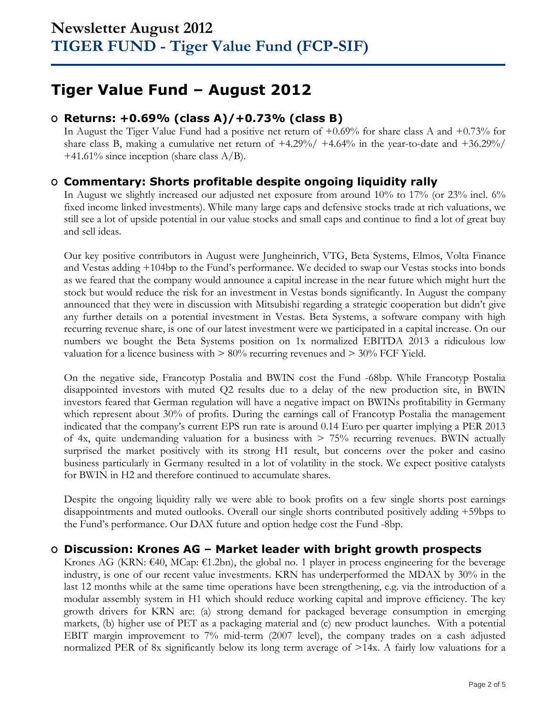# **Tiger Value Fund – August 2012**

## **O Returns: +0.69% (class A)/+0.73% (class B)**

In August the Tiger Value Fund had a positive net return of  $+0.69\%$  for share class A and  $+0.73\%$  for share class B, making a cumulative net return of  $+4.29\% / +4.64\%$  in the year-to-date and  $+36.29\% /$  $+41.61\%$  since inception (share class A/B).

## **O Commentary: Shorts profitable despite ongoing liquidity rally**

In August we slightly increased our adjusted net exposure from around 10% to 17% (or 23% incl. 6% fixed income linked investments). While many large caps and defensive stocks trade at rich valuations, we still see a lot of upside potential in our value stocks and small caps and continue to find a lot of great buy and sell ideas.

Our key positive contributors in August were Jungheinrich, VTG, Beta Systems, Elmos, Volta Finance and Vestas adding +104bp to the Fund's performance. We decided to swap our Vestas stocks into bonds as we feared that the company would announce a capital increase in the near future which might hurt the stock but would reduce the risk for an investment in Vestas bonds significantly. In August the company announced that they were in discussion with Mitsubishi regarding a strategic cooperation but didn't give any further details on a potential investment in Vestas. Beta Systems, a software company with high recurring revenue share, is one of our latest investment were we participated in a capital increase. On our numbers we bought the Beta Systems position on 1x normalized EBITDA 2013 a ridiculous low valuation for a licence business with  $> 80\%$  recurring revenues and  $> 30\%$  FCF Yield.

On the negative side, Francotyp Postalia and BWIN cost the Fund -68bp. While Francotyp Postalia disappointed investors with muted Q2 results due to a delay of the new production site, in BWIN investors feared that German regulation will have a negative impact on BWINs profitability in Germany which represent about 30% of profits. During the earnings call of Francotyp Postalia the management indicated that the company's current EPS run rate is around 0.14 Euro per quarter implying a PER 2013 of 4x, quite undemanding valuation for a business with  $> 75\%$  recurring revenues. BWIN actually surprised the market positively with its strong H1 result, but concerns over the poker and casino business particularly in Germany resulted in a lot of volatility in the stock. We expect positive catalysts for BWIN in H2 and therefore continued to accumulate shares.

Despite the ongoing liquidity rally we were able to book profits on a few single shorts post earnings disappointments and muted outlooks. Overall our single shorts contributed positively adding +59bps to the Fund's performance. Our DAX future and option hedge cost the Fund -8bp.

## **O Discussion: Krones AG – Market leader with bright growth prospects**

Krones AG (KRN: €40, MCap: €1.2bn), the global no. 1 player in process engineering for the beverage industry, is one of our recent value investments. KRN has underperformed the MDAX by 30% in the last 12 months while at the same time operations have been strengthening, e.g. via the introduction of a modular assembly system in H1 which should reduce working capital and improve efficiency. The key growth drivers for KRN are: (a) strong demand for packaged beverage consumption in emerging markets, (b) higher use of PET as a packaging material and (c) new product launches. With a potential EBIT margin improvement to 7% mid-term (2007 level), the company trades on a cash adjusted normalized PER of 8x significantly below its long term average of >14x. A fairly low valuations for a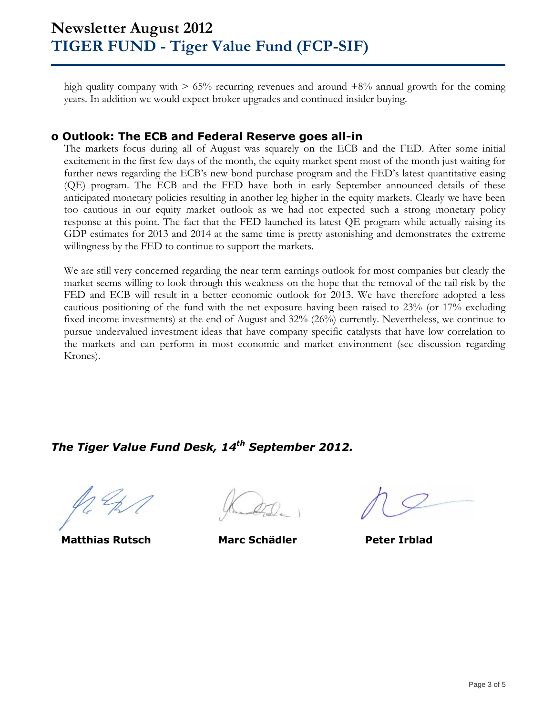high quality company with  $> 65\%$  recurring revenues and around  $+8\%$  annual growth for the coming years. In addition we would expect broker upgrades and continued insider buying.

### **o Outlook: The ECB and Federal Reserve goes all-in**

The markets focus during all of August was squarely on the ECB and the FED. After some initial excitement in the first few days of the month, the equity market spent most of the month just waiting for further news regarding the ECB's new bond purchase program and the FED's latest quantitative easing (QE) program. The ECB and the FED have both in early September announced details of these anticipated monetary policies resulting in another leg higher in the equity markets. Clearly we have been too cautious in our equity market outlook as we had not expected such a strong monetary policy response at this point. The fact that the FED launched its latest QE program while actually raising its GDP estimates for 2013 and 2014 at the same time is pretty astonishing and demonstrates the extreme willingness by the FED to continue to support the markets.

We are still very concerned regarding the near term earnings outlook for most companies but clearly the market seems willing to look through this weakness on the hope that the removal of the tail risk by the FED and ECB will result in a better economic outlook for 2013. We have therefore adopted a less cautious positioning of the fund with the net exposure having been raised to 23% (or 17% excluding fixed income investments) at the end of August and 32% (26%) currently. Nevertheless, we continue to pursue undervalued investment ideas that have company specific catalysts that have low correlation to the markets and can perform in most economic and market environment (see discussion regarding Krones).

*The Tiger Value Fund Desk, 14 th September 2012.*

**Matthias Rutsch Marc Schädler Peter Irblad**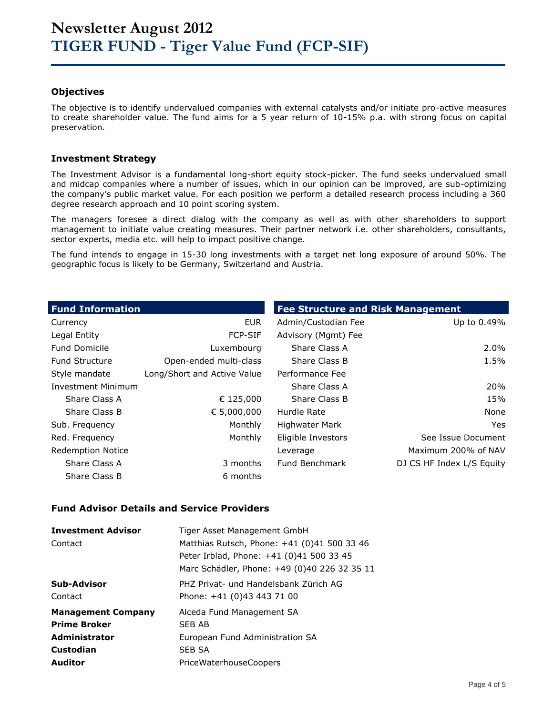### **Objectives**

The objective is to identify undervalued companies with external catalysts and/or initiate pro-active measures to create shareholder value. The fund aims for a 5 year return of 10-15% p.a. with strong focus on capital preservation.

### **Investment Strategy**

The Investment Advisor is a fundamental long-short equity stock-picker. The fund seeks undervalued small and midcap companies where a number of issues, which in our opinion can be improved, are sub-optimizing the company's public market value. For each position we perform a detailed research process including a 360 degree research approach and 10 point scoring system.

The managers foresee a direct dialog with the company as well as with other shareholders to support management to initiate value creating measures. Their partner network i.e. other shareholders, consultants, sector experts, media etc. will help to impact positive change.

The fund intends to engage in 15-30 long investments with a target net long exposure of around 50%. The geographic focus is likely to be Germany, Switzerland and Austria.

| <b>Fund Information</b>  |                             | <b>Fee Structure and Risk Management</b> |                           |
|--------------------------|-----------------------------|------------------------------------------|---------------------------|
| Currency                 | <b>EUR</b>                  | Admin/Custodian Fee                      | Up to 0.49%               |
| Legal Entity             | <b>FCP-SIF</b>              | Advisory (Mgmt) Fee                      |                           |
| <b>Fund Domicile</b>     | Luxembourg                  | Share Class A                            | $2.0\%$                   |
| <b>Fund Structure</b>    | Open-ended multi-class      | Share Class B                            | 1.5%                      |
| Style mandate            | Long/Short and Active Value | Performance Fee                          |                           |
| Investment Minimum       |                             | Share Class A                            | 20%                       |
| Share Class A            | € 125,000                   | Share Class B                            | 15%                       |
| Share Class B            | € 5,000,000                 | Hurdle Rate                              | None                      |
| Sub. Frequency           | Monthly                     | <b>Highwater Mark</b>                    | Yes.                      |
| Red. Frequency           | Monthly                     | Eligible Investors                       | See Issue Document        |
| <b>Redemption Notice</b> |                             | Leverage                                 | Maximum 200% of NAV       |
| Share Class A            | 3 months                    | Fund Benchmark                           | DJ CS HF Index L/S Equity |
| Share Class B            | 6 months                    |                                          |                           |

#### **Fund Advisor Details and Service Providers**

| <b>Investment Advisor</b> | Tiger Asset Management GmbH                  |
|---------------------------|----------------------------------------------|
| Contact                   | Matthias Rutsch, Phone: +41 (0)41 500 33 46  |
|                           | Peter Irblad, Phone: +41 (0)41 500 33 45     |
|                           | Marc Schädler, Phone: +49 (0)40 226 32 35 11 |
| Sub-Advisor               | PHZ Privat- und Handelsbank Zürich AG        |
| Contact                   | Phone: +41 (0)43 443 71 00                   |
| <b>Management Company</b> | Alceda Fund Management SA                    |
| <b>Prime Broker</b>       | SFB AB                                       |
| <b>Administrator</b>      | European Fund Administration SA              |
| Custodian                 | <b>SEB SA</b>                                |
| <b>Auditor</b>            | PriceWaterhouseCoopers                       |